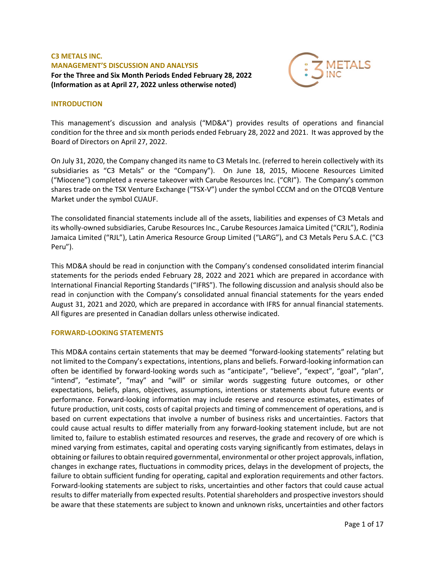# **C3 METALS INC. MANAGEMENT'S DISCUSSION AND ANALYSIS For the Three and Six Month Periods Ended February 28, 2022 (Information as at April 27, 2022 unless otherwise noted)**



# **INTRODUCTION**

This management's discussion and analysis ("MD&A") provides results of operations and financial condition for the three and six month periods ended February 28, 2022 and 2021. It was approved by the Board of Directors on April 27, 2022.

On July 31, 2020, the Company changed its name to C3 Metals Inc. (referred to herein collectively with its subsidiaries as "C3 Metals" or the "Company"). On June 18, 2015, Miocene Resources Limited ("Miocene") completed a reverse takeover with Carube Resources Inc. ("CRI"). The Company's common shares trade on the TSX Venture Exchange ("TSX-V") under the symbol CCCM and on the OTCQB Venture Market under the symbol CUAUF.

The consolidated financial statements include all of the assets, liabilities and expenses of C3 Metals and its wholly-owned subsidiaries, Carube Resources Inc., Carube Resources Jamaica Limited ("CRJL"), Rodinia Jamaica Limited ("RJL"), Latin America Resource Group Limited ("LARG"), and C3 Metals Peru S.A.C. ("C3 Peru").

This MD&A should be read in conjunction with the Company's condensed consolidated interim financial statements for the periods ended February 28, 2022 and 2021 which are prepared in accordance with International Financial Reporting Standards ("IFRS"). The following discussion and analysis should also be read in conjunction with the Company's consolidated annual financial statements for the years ended August 31, 2021 and 2020, which are prepared in accordance with IFRS for annual financial statements. All figures are presented in Canadian dollars unless otherwise indicated.

### **FORWARD-LOOKING STATEMENTS**

This MD&A contains certain statements that may be deemed "forward-looking statements" relating but not limited to the Company's expectations, intentions, plans and beliefs. Forward-looking information can often be identified by forward-looking words such as "anticipate", "believe", "expect", "goal", "plan", "intend", "estimate", "may" and "will" or similar words suggesting future outcomes, or other expectations, beliefs, plans, objectives, assumptions, intentions or statements about future events or performance. Forward-looking information may include reserve and resource estimates, estimates of future production, unit costs, costs of capital projects and timing of commencement of operations, and is based on current expectations that involve a number of business risks and uncertainties. Factors that could cause actual results to differ materially from any forward-looking statement include, but are not limited to, failure to establish estimated resources and reserves, the grade and recovery of ore which is mined varying from estimates, capital and operating costs varying significantly from estimates, delays in obtaining or failures to obtain required governmental, environmental or other project approvals, inflation, changes in exchange rates, fluctuations in commodity prices, delays in the development of projects, the failure to obtain sufficient funding for operating, capital and exploration requirements and other factors. Forward-looking statements are subject to risks, uncertainties and other factors that could cause actual results to differ materially from expected results. Potential shareholders and prospective investors should be aware that these statements are subject to known and unknown risks, uncertainties and other factors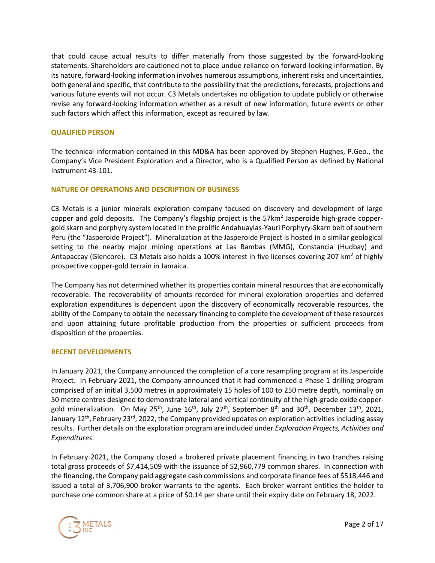that could cause actual results to differ materially from those suggested by the forward-looking statements. Shareholders are cautioned not to place undue reliance on forward-looking information. By its nature, forward-looking information involves numerous assumptions, inherent risks and uncertainties, both general and specific, that contribute to the possibility that the predictions, forecasts, projections and various future events will not occur. C3 Metals undertakes no obligation to update publicly or otherwise revise any forward-looking information whether as a result of new information, future events or other such factors which affect this information, except as required by law.

## **QUALIFIED PERSON**

The technical information contained in this MD&A has been approved by Stephen Hughes, P.Geo., the Company's Vice President Exploration and a Director, who is a Qualified Person as defined by National Instrument 43-101.

## **NATURE OF OPERATIONS AND DESCRIPTION OF BUSINESS**

C3 Metals is a junior minerals exploration company focused on discovery and development of large copper and gold deposits. The Company's flagship project is the 57km<sup>2</sup> Jasperoide high-grade coppergold skarn and porphyry system located in the prolific Andahuaylas-Yauri Porphyry-Skarn belt of southern Peru (the "Jasperoide Project"). Mineralization at the Jasperoide Project is hosted in a similar geological setting to the nearby major mining operations at Las Bambas (MMG), Constancia (Hudbay) and Antapaccay (Glencore). C3 Metals also holds a 100% interest in five licenses covering 207 km<sup>2</sup> of highly prospective copper-gold terrain in Jamaica.

The Company has not determined whether its properties contain mineral resources that are economically recoverable. The recoverability of amounts recorded for mineral exploration properties and deferred exploration expenditures is dependent upon the discovery of economically recoverable resources, the ability of the Company to obtain the necessary financing to complete the development of these resources and upon attaining future profitable production from the properties or sufficient proceeds from disposition of the properties.

### **RECENT DEVELOPMENTS**

In January 2021, the Company announced the completion of a core resampling program at its Jasperoide Project. In February 2021, the Company announced that it had commenced a Phase 1 drilling program comprised of an initial 3,500 metres in approximately 15 holes of 100 to 250 metre depth, nominally on 50 metre centres designed to demonstrate lateral and vertical continuity of the high-grade oxide coppergold mineralization. On May 25<sup>th</sup>, June 16<sup>th</sup>, July 27<sup>th</sup>, September 8<sup>th</sup> and 30<sup>th</sup>, December 13<sup>th</sup>, 2021, January 12<sup>th</sup>, February 23<sup>rd</sup>, 2022, the Company provided updates on exploration activities including assay results. Further details on the exploration program are included under *Exploration Projects, Activities and Expenditures*.

In February 2021, the Company closed a brokered private placement financing in two tranches raising total gross proceeds of \$7,414,509 with the issuance of 52,960,779 common shares. In connection with the financing, the Company paid aggregate cash commissions and corporate finance fees of \$518,446 and issued a total of 3,706,900 broker warrants to the agents. Each broker warrant entitles the holder to purchase one common share at a price of \$0.14 per share until their expiry date on February 18, 2022.

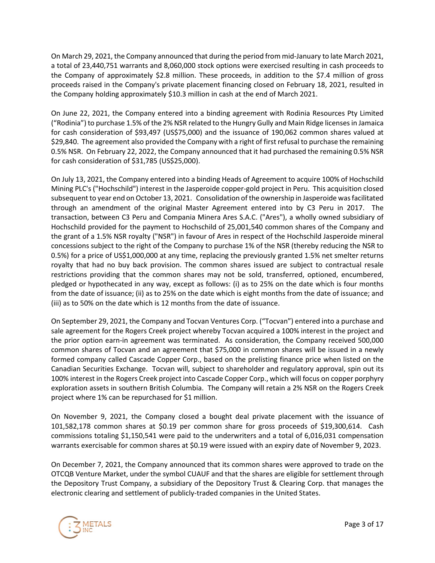On March 29, 2021, the Company announced that during the period from mid-January to late March 2021, a total of 23,440,751 warrants and 8,060,000 stock options were exercised resulting in cash proceeds to the Company of approximately \$2.8 million. These proceeds, in addition to the \$7.4 million of gross proceeds raised in the Company's private placement financing closed on February 18, 2021, resulted in the Company holding approximately \$10.3 million in cash at the end of March 2021.

On June 22, 2021, the Company entered into a binding agreement with Rodinia Resources Pty Limited ("Rodinia") to purchase 1.5% of the 2% NSR related to the Hungry Gully and Main Ridge licenses in Jamaica for cash consideration of \$93,497 (US\$75,000) and the issuance of 190,062 common shares valued at \$29,840. The agreement also provided the Company with a right of first refusal to purchase the remaining 0.5% NSR. On February 22, 2022, the Company announced that it had purchased the remaining 0.5% NSR for cash consideration of \$31,785 (US\$25,000).

On July 13, 2021, the Company entered into a binding Heads of Agreement to acquire 100% of Hochschild Mining PLC's ("Hochschild") interest in the Jasperoide copper-gold project in Peru. This acquisition closed subsequent to year end on October 13, 2021. Consolidation of the ownership in Jasperoide was facilitated through an amendment of the original Master Agreement entered into by C3 Peru in 2017. The transaction, between C3 Peru and Compania Minera Ares S.A.C. ("Ares"), a wholly owned subsidiary of Hochschild provided for the payment to Hochschild of 25,001,540 common shares of the Company and the grant of a 1.5% NSR royalty ("NSR") in favour of Ares in respect of the Hochschild Jasperoide mineral concessions subject to the right of the Company to purchase 1% of the NSR (thereby reducing the NSR to 0.5%) for a price of US\$1,000,000 at any time, replacing the previously granted 1.5% net smelter returns royalty that had no buy back provision. The common shares issued are subject to contractual resale restrictions providing that the common shares may not be sold, transferred, optioned, encumbered, pledged or hypothecated in any way, except as follows: (i) as to 25% on the date which is four months from the date of issuance; (ii) as to 25% on the date which is eight months from the date of issuance; and (iii) as to 50% on the date which is 12 months from the date of issuance.

On September 29, 2021, the Company and Tocvan Ventures Corp. ("Tocvan") entered into a purchase and sale agreement for the Rogers Creek project whereby Tocvan acquired a 100% interest in the project and the prior option earn-in agreement was terminated. As consideration, the Company received 500,000 common shares of Tocvan and an agreement that \$75,000 in common shares will be issued in a newly formed company called Cascade Copper Corp., based on the prelisting finance price when listed on the Canadian Securities Exchange. Tocvan will, subject to shareholder and regulatory approval, spin out its 100% interest in the Rogers Creek project into Cascade Copper Corp., which will focus on copper porphyry exploration assets in southern British Columbia. The Company will retain a 2% NSR on the Rogers Creek project where 1% can be repurchased for \$1 million.

On November 9, 2021, the Company closed a bought deal private placement with the issuance of 101,582,178 common shares at \$0.19 per common share for gross proceeds of \$19,300,614. Cash commissions totaling \$1,150,541 were paid to the underwriters and a total of 6,016,031 compensation warrants exercisable for common shares at \$0.19 were issued with an expiry date of November 9, 2023.

On December 7, 2021, the Company announced that its common shares were approved to trade on the OTCQB Venture Market, under the symbol CUAUF and that the shares are eligible for settlement through the Depository Trust Company, a subsidiary of the Depository Trust & Clearing Corp. that manages the electronic clearing and settlement of publicly-traded companies in the United States.

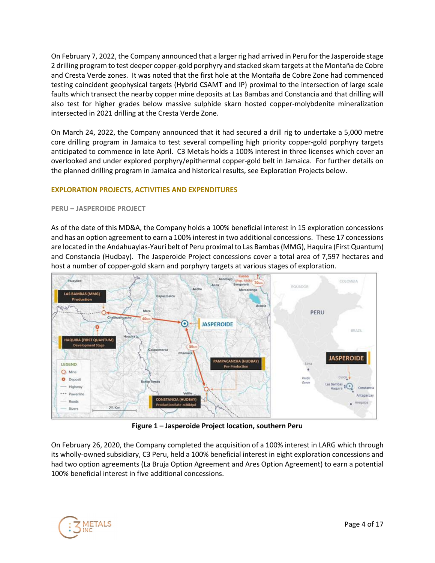On February 7, 2022, the Company announced that a larger rig had arrived in Peru for the Jasperoide stage 2 drilling program to test deeper copper-gold porphyry and stacked skarn targets at the Montaña de Cobre and Cresta Verde zones. It was noted that the first hole at the Montaña de Cobre Zone had commenced testing coincident geophysical targets (Hybrid CSAMT and IP) proximal to the intersection of large scale faults which transect the nearby copper mine deposits at Las Bambas and Constancia and that drilling will also test for higher grades below massive sulphide skarn hosted copper-molybdenite mineralization intersected in 2021 drilling at the Cresta Verde Zone.

On March 24, 2022, the Company announced that it had secured a drill rig to undertake a 5,000 metre core drilling program in Jamaica to test several compelling high priority copper-gold porphyry targets anticipated to commence in late April. C3 Metals holds a 100% interest in three licenses which cover an overlooked and under explored porphyry/epithermal copper-gold belt in Jamaica. For further details on the planned drilling program in Jamaica and historical results, see Exploration Projects below.

# **EXPLORATION PROJECTS, ACTIVITIES AND EXPENDITURES**

## **PERU – JASPEROIDE PROJECT**

As of the date of this MD&A, the Company holds a 100% beneficial interest in 15 exploration concessions and has an option agreement to earn a 100% interest in two additional concessions. These 17 concessions are located in the Andahuaylas-Yauri belt of Peru proximal to Las Bambas (MMG), Haquira (First Quantum) and Constancia (Hudbay). The Jasperoide Project concessions cover a total area of 7,597 hectares and host a number of copper-gold skarn and porphyry targets at various stages of exploration.



**Figure 1 – Jasperoide Project location, southern Peru**

On February 26, 2020, the Company completed the acquisition of a 100% interest in LARG which through its wholly-owned subsidiary, C3 Peru, held a 100% beneficial interest in eight exploration concessions and had two option agreements (La Bruja Option Agreement and Ares Option Agreement) to earn a potential 100% beneficial interest in five additional concessions.

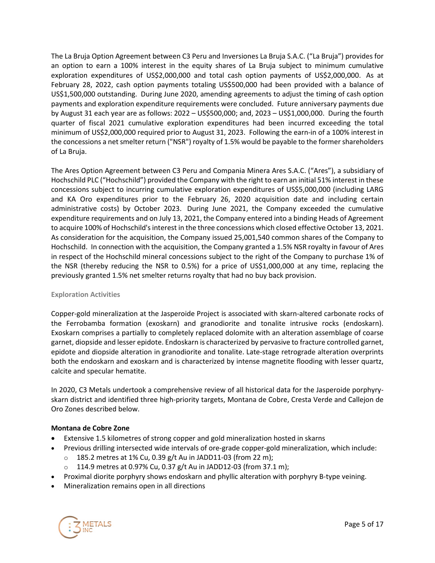The La Bruja Option Agreement between C3 Peru and Inversiones La Bruja S.A.C. ("La Bruja") provides for an option to earn a 100% interest in the equity shares of La Bruja subject to minimum cumulative exploration expenditures of US\$2,000,000 and total cash option payments of US\$2,000,000. As at February 28, 2022, cash option payments totaling US\$500,000 had been provided with a balance of US\$1,500,000 outstanding. During June 2020, amending agreements to adjust the timing of cash option payments and exploration expenditure requirements were concluded. Future anniversary payments due by August 31 each year are as follows: 2022 – US\$500,000; and, 2023 – US\$1,000,000. During the fourth quarter of fiscal 2021 cumulative exploration expenditures had been incurred exceeding the total minimum of US\$2,000,000 required prior to August 31, 2023. Following the earn-in of a 100% interest in the concessions a net smelter return ("NSR") royalty of 1.5% would be payable to the former shareholders of La Bruja.

The Ares Option Agreement between C3 Peru and Compania Minera Ares S.A.C. ("Ares"), a subsidiary of Hochschild PLC ("Hochschild") provided the Company with the right to earn an initial 51% interest in these concessions subject to incurring cumulative exploration expenditures of US\$5,000,000 (including LARG and KA Oro expenditures prior to the February 26, 2020 acquisition date and including certain administrative costs) by October 2023. During June 2021, the Company exceeded the cumulative expenditure requirements and on July 13, 2021, the Company entered into a binding Heads of Agreement to acquire 100% of Hochschild's interest in the three concessions which closed effective October 13, 2021. As consideration for the acquisition, the Company issued 25,001,540 common shares of the Company to Hochschild. In connection with the acquisition, the Company granted a 1.5% NSR royalty in favour of Ares in respect of the Hochschild mineral concessions subject to the right of the Company to purchase 1% of the NSR (thereby reducing the NSR to 0.5%) for a price of US\$1,000,000 at any time, replacing the previously granted 1.5% net smelter returns royalty that had no buy back provision.

# **Exploration Activities**

Copper-gold mineralization at the Jasperoide Project is associated with skarn-altered carbonate rocks of the Ferrobamba formation (exoskarn) and granodiorite and tonalite intrusive rocks (endoskarn). Exoskarn comprises a partially to completely replaced dolomite with an alteration assemblage of coarse garnet, diopside and lesser epidote. Endoskarn is characterized by pervasive to fracture controlled garnet, epidote and diopside alteration in granodiorite and tonalite. Late-stage retrograde alteration overprints both the endoskarn and exoskarn and is characterized by intense magnetite flooding with lesser quartz, calcite and specular hematite.

In 2020, C3 Metals undertook a comprehensive review of all historical data for the Jasperoide porphyryskarn district and identified three high-priority targets, Montana de Cobre, Cresta Verde and Callejon de Oro Zones described below.

# **Montana de Cobre Zone**

- Extensive 1.5 kilometres of strong copper and gold mineralization hosted in skarns
- Previous drilling intersected wide intervals of ore-grade copper-gold mineralization, which include:
	- $\circ$  185.2 metres at 1% Cu, 0.39 g/t Au in JADD11-03 (from 22 m);
	- $\circ$  114.9 metres at 0.97% Cu, 0.37 g/t Au in JADD12-03 (from 37.1 m);
- Proximal diorite porphyry shows endoskarn and phyllic alteration with porphyry B-type veining.
- Mineralization remains open in all directions

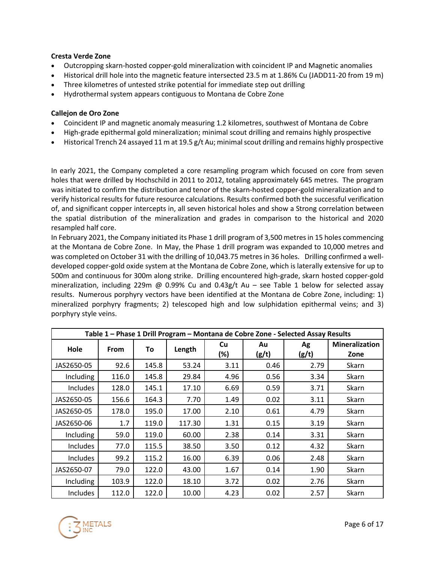# **Cresta Verde Zone**

- Outcropping skarn-hosted copper-gold mineralization with coincident IP and Magnetic anomalies
- Historical drill hole into the magnetic feature intersected 23.5 m at 1.86% Cu (JADD11-20 from 19 m)
- Three kilometres of untested strike potential for immediate step out drilling
- Hydrothermal system appears contiguous to Montana de Cobre Zone

# **Callejon de Oro Zone**

- Coincident IP and magnetic anomaly measuring 1.2 kilometres, southwest of Montana de Cobre
- High-grade epithermal gold mineralization; minimal scout drilling and remains highly prospective
- Historical Trench 24 assayed 11 m at 19.5 g/t Au; minimal scout drilling and remains highly prospective

In early 2021, the Company completed a core resampling program which focused on core from seven holes that were drilled by Hochschild in 2011 to 2012, totaling approximately 645 metres. The program was initiated to confirm the distribution and tenor of the skarn-hosted copper-gold mineralization and to verify historical results for future resource calculations. Results confirmed both the successful verification of, and significant copper intercepts in, all seven historical holes and show a Strong correlation between the spatial distribution of the mineralization and grades in comparison to the historical and 2020 resampled half core.

In February 2021, the Company initiated its Phase 1 drill program of 3,500 metres in 15 holes commencing at the Montana de Cobre Zone. In May, the Phase 1 drill program was expanded to 10,000 metres and was completed on October 31 with the drilling of 10,043.75 metres in 36 holes. Drilling confirmed a welldeveloped copper-gold oxide system at the Montana de Cobre Zone, which is laterally extensive for up to 500m and continuous for 300m along strike. Drilling encountered high-grade, skarn hosted copper-gold mineralization, including 229m @ 0.99% Cu and 0.43g/t Au – see Table 1 below for selected assay results. Numerous porphyry vectors have been identified at the Montana de Cobre Zone, including: 1) mineralized porphyry fragments; 2) telescoped high and low sulphidation epithermal veins; and 3) porphyry style veins.

| Table 1 - Phase 1 Drill Program - Montana de Cobre Zone - Selected Assay Results |             |       |        |           |             |             |                               |
|----------------------------------------------------------------------------------|-------------|-------|--------|-----------|-------------|-------------|-------------------------------|
| Hole                                                                             | <b>From</b> | To    | Length | Cu<br>(%) | Au<br>(g/t) | Ag<br>(g/t) | <b>Mineralization</b><br>Zone |
| JAS2650-05                                                                       | 92.6        | 145.8 | 53.24  | 3.11      | 0.46        | 2.79        | Skarn                         |
| Including                                                                        | 116.0       | 145.8 | 29.84  | 4.96      | 0.56        | 3.34        | Skarn                         |
| Includes                                                                         | 128.0       | 145.1 | 17.10  | 6.69      | 0.59        | 3.71        | Skarn                         |
| JAS2650-05                                                                       | 156.6       | 164.3 | 7.70   | 1.49      | 0.02        | 3.11        | Skarn                         |
| JAS2650-05                                                                       | 178.0       | 195.0 | 17.00  | 2.10      | 0.61        | 4.79        | Skarn                         |
| JAS2650-06                                                                       | 1.7         | 119.0 | 117.30 | 1.31      | 0.15        | 3.19        | Skarn                         |
| Including                                                                        | 59.0        | 119.0 | 60.00  | 2.38      | 0.14        | 3.31        | Skarn                         |
| Includes                                                                         | 77.0        | 115.5 | 38.50  | 3.50      | 0.12        | 4.32        | Skarn                         |
| Includes                                                                         | 99.2        | 115.2 | 16.00  | 6.39      | 0.06        | 2.48        | Skarn                         |
| JAS2650-07                                                                       | 79.0        | 122.0 | 43.00  | 1.67      | 0.14        | 1.90        | Skarn                         |
| Including                                                                        | 103.9       | 122.0 | 18.10  | 3.72      | 0.02        | 2.76        | Skarn                         |
| Includes                                                                         | 112.0       | 122.0 | 10.00  | 4.23      | 0.02        | 2.57        | Skarn                         |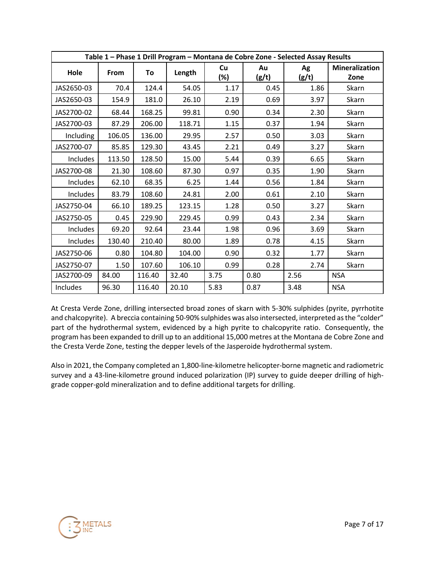| Table 1 - Phase 1 Drill Program - Montana de Cobre Zone - Selected Assay Results |        |        |        |           |             |             |                               |
|----------------------------------------------------------------------------------|--------|--------|--------|-----------|-------------|-------------|-------------------------------|
| Hole                                                                             | From   | To     | Length | Cu<br>(%) | Au<br>(g/t) | Ag<br>(g/t) | <b>Mineralization</b><br>Zone |
| JAS2650-03                                                                       | 70.4   | 124.4  | 54.05  | 1.17      | 0.45        | 1.86        | Skarn                         |
| JAS2650-03                                                                       | 154.9  | 181.0  | 26.10  | 2.19      | 0.69        | 3.97        | Skarn                         |
| JAS2700-02                                                                       | 68.44  | 168.25 | 99.81  | 0.90      | 0.34        | 2.30        | Skarn                         |
| JAS2700-03                                                                       | 87.29  | 206.00 | 118.71 | 1.15      | 0.37        | 1.94        | Skarn                         |
| Including                                                                        | 106.05 | 136.00 | 29.95  | 2.57      | 0.50        | 3.03        | Skarn                         |
| JAS2700-07                                                                       | 85.85  | 129.30 | 43.45  | 2.21      | 0.49        | 3.27        | Skarn                         |
| Includes                                                                         | 113.50 | 128.50 | 15.00  | 5.44      | 0.39        | 6.65        | Skarn                         |
| JAS2700-08                                                                       | 21.30  | 108.60 | 87.30  | 0.97      | 0.35        | 1.90        | Skarn                         |
| Includes                                                                         | 62.10  | 68.35  | 6.25   | 1.44      | 0.56        | 1.84        | Skarn                         |
| Includes                                                                         | 83.79  | 108.60 | 24.81  | 2.00      | 0.61        | 2.10        | Skarn                         |
| JAS2750-04                                                                       | 66.10  | 189.25 | 123.15 | 1.28      | 0.50        | 3.27        | Skarn                         |
| JAS2750-05                                                                       | 0.45   | 229.90 | 229.45 | 0.99      | 0.43        | 2.34        | Skarn                         |
| Includes                                                                         | 69.20  | 92.64  | 23.44  | 1.98      | 0.96        | 3.69        | Skarn                         |
| Includes                                                                         | 130.40 | 210.40 | 80.00  | 1.89      | 0.78        | 4.15        | Skarn                         |
| JAS2750-06                                                                       | 0.80   | 104.80 | 104.00 | 0.90      | 0.32        | 1.77        | Skarn                         |
| JAS2750-07                                                                       | 1.50   | 107.60 | 106.10 | 0.99      | 0.28        | 2.74        | Skarn                         |
| JAS2700-09                                                                       | 84.00  | 116.40 | 32.40  | 3.75      | 0.80        | 2.56        | <b>NSA</b>                    |
| Includes                                                                         | 96.30  | 116.40 | 20.10  | 5.83      | 0.87        | 3.48        | <b>NSA</b>                    |

At Cresta Verde Zone, drilling intersected broad zones of skarn with 5-30% sulphides (pyrite, pyrrhotite and chalcopyrite). A breccia containing 50-90% sulphides was also intersected, interpreted as the "colder" part of the hydrothermal system, evidenced by a high pyrite to chalcopyrite ratio. Consequently, the program has been expanded to drill up to an additional 15,000 metres at the Montana de Cobre Zone and the Cresta Verde Zone, testing the depper levels of the Jasperoide hydrothermal system.

Also in 2021, the Company completed an 1,800-line-kilometre helicopter-borne magnetic and radiometric survey and a 43-line-kilometre ground induced polarization (IP) survey to guide deeper drilling of highgrade copper-gold mineralization and to define additional targets for drilling.

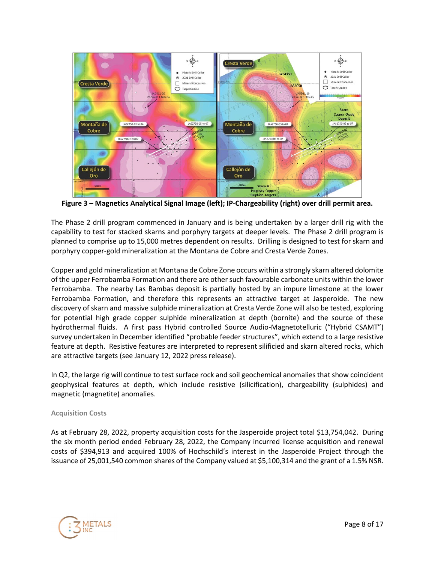

**Figure 3 – Magnetics Analytical Signal Image (left); IP-Chargeability (right) over drill permit area.**

The Phase 2 drill program commenced in January and is being undertaken by a larger drill rig with the capability to test for stacked skarns and porphyry targets at deeper levels. The Phase 2 drill program is planned to comprise up to 15,000 metres dependent on results. Drilling is designed to test for skarn and porphyry copper-gold mineralization at the Montana de Cobre and Cresta Verde Zones.

Copper and gold mineralization at Montana de Cobre Zone occurs within a strongly skarn altered dolomite of the upper Ferrobamba Formation and there are other such favourable carbonate units within the lower Ferrobamba. The nearby Las Bambas deposit is partially hosted by an impure limestone at the lower Ferrobamba Formation, and therefore this represents an attractive target at Jasperoide. The new discovery of skarn and massive sulphide mineralization at Cresta Verde Zone will also be tested, exploring for potential high grade copper sulphide mineralization at depth (bornite) and the source of these hydrothermal fluids. A first pass Hybrid controlled Source Audio-Magnetotelluric ("Hybrid CSAMT") survey undertaken in December identified "probable feeder structures", which extend to a large resistive feature at depth. Resistive features are interpreted to represent silificied and skarn altered rocks, which are attractive targets (see January 12, 2022 press release).

In Q2, the large rig will continue to test surface rock and soil geochemical anomalies that show coincident geophysical features at depth, which include resistive (silicification), chargeability (sulphides) and magnetic (magnetite) anomalies.

# **Acquisition Costs**

As at February 28, 2022, property acquisition costs for the Jasperoide project total \$13,754,042. During the six month period ended February 28, 2022, the Company incurred license acquisition and renewal costs of \$394,913 and acquired 100% of Hochschild's interest in the Jasperoide Project through the issuance of 25,001,540 common shares of the Company valued at \$5,100,314 and the grant of a 1.5% NSR.

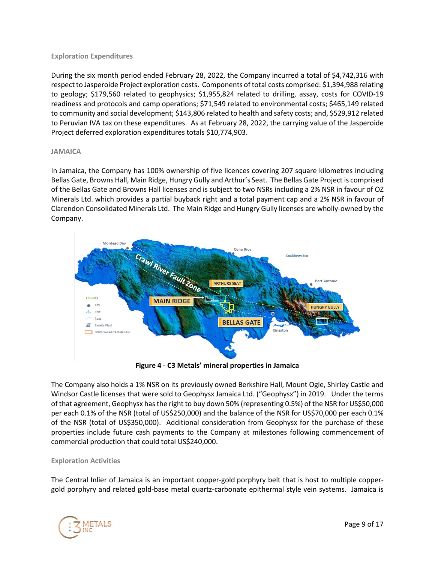## **Exploration Expenditures**

During the six month period ended February 28, 2022, the Company incurred a total of \$4,742,316 with respect to Jasperoide Project exploration costs. Components of total costs comprised: \$1,394,988 relating to geology; \$179,560 related to geophysics; \$1,955,824 related to drilling, assay, costs for COVID-19 readiness and protocols and camp operations; \$71,549 related to environmental costs; \$465,149 related to community and social development; \$143,806 related to health and safety costs; and, \$529,912 related to Peruvian IVA tax on these expenditures. As at February 28, 2022, the carrying value of the Jasperoide Project deferred exploration expenditures totals \$10,774,903.

### **JAMAICA**

In Jamaica, the Company has 100% ownership of five licences covering 207 square kilometres including Bellas Gate, Browns Hall, Main Ridge, Hungry Gully and Arthur's Seat. The Bellas Gate Project is comprised of the Bellas Gate and Browns Hall licenses and is subject to two NSRs including a 2% NSR in favour of OZ Minerals Ltd. which provides a partial buyback right and a total payment cap and a 2% NSR in favour of Clarendon Consolidated Minerals Ltd. The Main Ridge and Hungry Gully licenses are wholly-owned by the Company.



**Figure 4 - C3 Metals' mineral properties in Jamaica**

The Company also holds a 1% NSR on its previously owned Berkshire Hall, Mount Ogle, Shirley Castle and Windsor Castle licenses that were sold to Geophysx Jamaica Ltd. ("Geophysx") in 2019. Under the terms of that agreement, Geophysx has the right to buy down 50% (representing 0.5%) of the NSR for US\$50,000 per each 0.1% of the NSR (total of US\$250,000) and the balance of the NSR for US\$70,000 per each 0.1% of the NSR (total of US\$350,000). Additional consideration from Geophysx for the purchase of these properties include future cash payments to the Company at milestones following commencement of commercial production that could total US\$240,000.

### **Exploration Activities**

The Central Inlier of Jamaica is an important copper-gold porphyry belt that is host to multiple coppergold porphyry and related gold-base metal quartz-carbonate epithermal style vein systems. Jamaica is

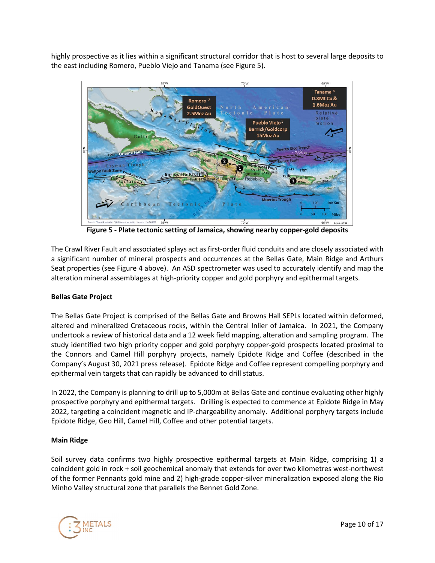highly prospective as it lies within a significant structural corridor that is host to several large deposits to the east including Romero, Pueblo Viejo and Tanama (see Figure 5).



**Figure 5 - Plate tectonic setting of Jamaica, showing nearby copper-gold deposits**

The Crawl River Fault and associated splays act as first-order fluid conduits and are closely associated with a significant number of mineral prospects and occurrences at the Bellas Gate, Main Ridge and Arthurs Seat properties (see Figure 4 above). An ASD spectrometer was used to accurately identify and map the alteration mineral assemblages at high-priority copper and gold porphyry and epithermal targets.

# **Bellas Gate Project**

The Bellas Gate Project is comprised of the Bellas Gate and Browns Hall SEPLs located within deformed, altered and mineralized Cretaceous rocks, within the Central Inlier of Jamaica. In 2021, the Company undertook a review of historical data and a 12 week field mapping, alteration and sampling program. The study identified two high priority copper and gold porphyry copper-gold prospects located proximal to the Connors and Camel Hill porphyry projects, namely Epidote Ridge and Coffee (described in the Company's August 30, 2021 press release). Epidote Ridge and Coffee represent compelling porphyry and epithermal vein targets that can rapidly be advanced to drill status.

In 2022, the Company is planning to drill up to 5,000m at Bellas Gate and continue evaluating other highly prospective porphyry and epithermal targets. Drilling is expected to commence at Epidote Ridge in May 2022, targeting a coincident magnetic and IP-chargeability anomaly. Additional porphyry targets include Epidote Ridge, Geo Hill, Camel Hill, Coffee and other potential targets.

# **Main Ridge**

Soil survey data confirms two highly prospective epithermal targets at Main Ridge, comprising 1) a coincident gold in rock + soil geochemical anomaly that extends for over two kilometres west-northwest of the former Pennants gold mine and 2) high-grade copper-silver mineralization exposed along the Rio Minho Valley structural zone that parallels the Bennet Gold Zone.

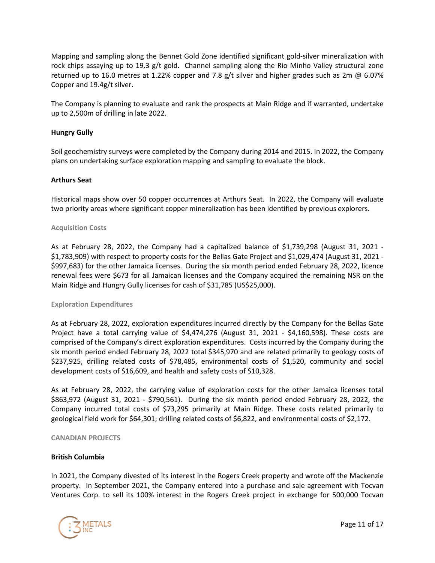Mapping and sampling along the Bennet Gold Zone identified significant gold-silver mineralization with rock chips assaying up to 19.3 g/t gold. Channel sampling along the Rio Minho Valley structural zone returned up to 16.0 metres at 1.22% copper and 7.8 g/t silver and higher grades such as 2m @ 6.07% Copper and 19.4g/t silver.

The Company is planning to evaluate and rank the prospects at Main Ridge and if warranted, undertake up to 2,500m of drilling in late 2022.

# **Hungry Gully**

Soil geochemistry surveys were completed by the Company during 2014 and 2015. In 2022, the Company plans on undertaking surface exploration mapping and sampling to evaluate the block.

## **Arthurs Seat**

Historical maps show over 50 copper occurrences at Arthurs Seat. In 2022, the Company will evaluate two priority areas where significant copper mineralization has been identified by previous explorers.

### **Acquisition Costs**

As at February 28, 2022, the Company had a capitalized balance of \$1,739,298 (August 31, 2021 - \$1,783,909) with respect to property costs for the Bellas Gate Project and \$1,029,474 (August 31, 2021 - \$997,683) for the other Jamaica licenses. During the six month period ended February 28, 2022, licence renewal fees were \$673 for all Jamaican licenses and the Company acquired the remaining NSR on the Main Ridge and Hungry Gully licenses for cash of \$31,785 (US\$25,000).

### **Exploration Expenditures**

As at February 28, 2022, exploration expenditures incurred directly by the Company for the Bellas Gate Project have a total carrying value of \$4,474,276 (August 31, 2021 - \$4,160,598). These costs are comprised of the Company's direct exploration expenditures. Costs incurred by the Company during the six month period ended February 28, 2022 total \$345,970 and are related primarily to geology costs of \$237,925, drilling related costs of \$78,485, environmental costs of \$1,520, community and social development costs of \$16,609, and health and safety costs of \$10,328.

As at February 28, 2022, the carrying value of exploration costs for the other Jamaica licenses total \$863,972 (August 31, 2021 - \$790,561). During the six month period ended February 28, 2022, the Company incurred total costs of \$73,295 primarily at Main Ridge. These costs related primarily to geological field work for \$64,301; drilling related costs of \$6,822, and environmental costs of \$2,172.

### **CANADIAN PROJECTS**

### **British Columbia**

In 2021, the Company divested of its interest in the Rogers Creek property and wrote off the Mackenzie property. In September 2021, the Company entered into a purchase and sale agreement with Tocvan Ventures Corp. to sell its 100% interest in the Rogers Creek project in exchange for 500,000 Tocvan

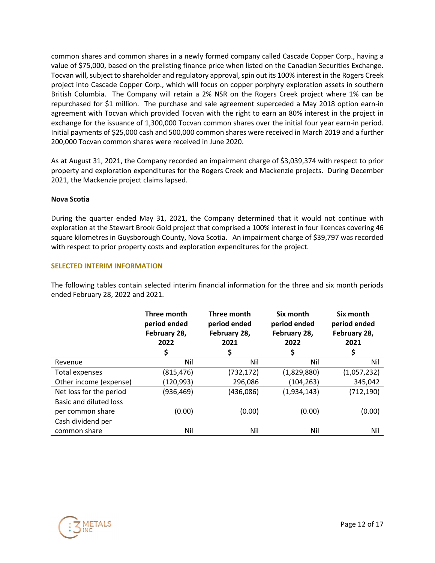common shares and common shares in a newly formed company called Cascade Copper Corp., having a value of \$75,000, based on the prelisting finance price when listed on the Canadian Securities Exchange. Tocvan will, subject to shareholder and regulatory approval, spin out its 100% interest in the Rogers Creek project into Cascade Copper Corp., which will focus on copper porphyry exploration assets in southern British Columbia. The Company will retain a 2% NSR on the Rogers Creek project where 1% can be repurchased for \$1 million. The purchase and sale agreement superceded a May 2018 option earn-in agreement with Tocvan which provided Tocvan with the right to earn an 80% interest in the project in exchange for the issuance of 1,300,000 Tocvan common shares over the initial four year earn-in period. Initial payments of \$25,000 cash and 500,000 common shares were received in March 2019 and a further 200,000 Tocvan common shares were received in June 2020.

As at August 31, 2021, the Company recorded an impairment charge of \$3,039,374 with respect to prior property and exploration expenditures for the Rogers Creek and Mackenzie projects. During December 2021, the Mackenzie project claims lapsed.

# **Nova Scotia**

During the quarter ended May 31, 2021, the Company determined that it would not continue with exploration at the Stewart Brook Gold project that comprised a 100% interest in four licences covering 46 square kilometres in Guysborough County, Nova Scotia. An impairment charge of \$39,797 was recorded with respect to prior property costs and exploration expenditures for the project.

# **SELECTED INTERIM INFORMATION**

The following tables contain selected interim financial information for the three and six month periods ended February 28, 2022 and 2021.

|                         | Three month<br>period ended<br>February 28,<br>2022<br>S | Three month<br>period ended<br>February 28,<br>2021<br>S | Six month<br>period ended<br>February 28,<br>2022<br>Ş | Six month<br>period ended<br>February 28,<br>2021<br>S |
|-------------------------|----------------------------------------------------------|----------------------------------------------------------|--------------------------------------------------------|--------------------------------------------------------|
| Revenue                 | Nil                                                      | Nil                                                      | Nil                                                    | Nil                                                    |
| Total expenses          | (815,476)                                                | (732,172)                                                | (1,829,880)                                            | (1,057,232)                                            |
| Other income (expense)  | (120, 993)                                               | 296,086                                                  | (104, 263)                                             | 345,042                                                |
| Net loss for the period | (936,469)                                                | (436,086)                                                | (1,934,143)                                            | (712, 190)                                             |
| Basic and diluted loss  |                                                          |                                                          |                                                        |                                                        |
| per common share        | (0.00)                                                   | (0.00)                                                   | (0.00)                                                 | (0.00)                                                 |
| Cash dividend per       |                                                          |                                                          |                                                        |                                                        |
| common share            | Nil                                                      | Nil                                                      | Nil                                                    | Nil                                                    |

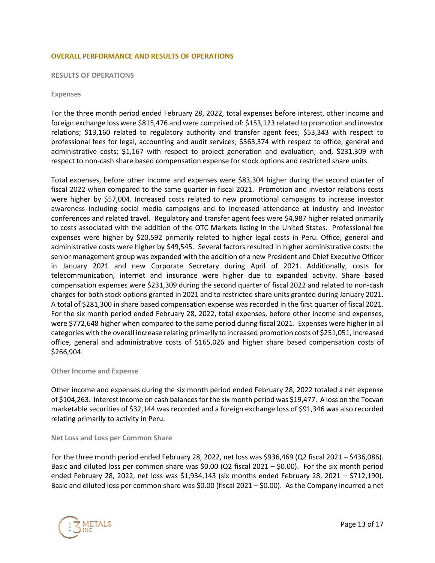## **OVERALL PERFORMANCE AND RESULTS OF OPERATIONS**

**RESULTS OF OPERATIONS**

#### **Expenses**

For the three month period ended February 28, 2022, total expenses before interest, other income and foreign exchange loss were \$815,476 and were comprised of: \$153,123 related to promotion and investor relations; \$13,160 related to regulatory authority and transfer agent fees; \$53,343 with respect to professional fees for legal, accounting and audit services; \$363,374 with respect to office, general and administrative costs; \$1,167 with respect to project generation and evaluation; and, \$231,309 with respect to non-cash share based compensation expense for stock options and restricted share units.

Total expenses, before other income and expenses were \$83,304 higher during the second quarter of fiscal 2022 when compared to the same quarter in fiscal 2021. Promotion and investor relations costs were higher by \$57,004. Increased costs related to new promotional campaigns to increase investor awareness including social media campaigns and to increased attendance at industry and investor conferences and related travel. Regulatory and transfer agent fees were \$4,987 higher related primarily to costs associated with the addition of the OTC Markets listing in the United States. Professional fee expenses were higher by \$20,592 primarily related to higher legal costs in Peru. Office, general and administrative costs were higher by \$49,545. Several factors resulted in higher administrative costs: the senior management group was expanded with the addition of a new President and Chief Executive Officer in January 2021 and new Corporate Secretary during April of 2021. Additionally, costs for telecommunication, internet and insurance were higher due to expanded activity. Share based compensation expenses were \$231,309 during the second quarter of fiscal 2022 and related to non-cash charges for both stock options granted in 2021 and to restricted share units granted during January 2021. A total of \$281,300 in share based compensation expense was recorded in the first quarter of fiscal 2021. For the six month period ended February 28, 2022, total expenses, before other income and expenses, were \$772,648 higher when compared to the same period during fiscal 2021. Expenses were higher in all categories with the overall increase relating primarily to increased promotion costs of \$251,051, increased office, general and administrative costs of \$165,026 and higher share based compensation costs of \$266,904.

### **Other Income and Expense**

Other income and expenses during the six month period ended February 28, 2022 totaled a net expense of \$104,263. Interest income on cash balances for the six month period was \$19,477. A loss on the Tocvan marketable securities of \$32,144 was recorded and a foreign exchange loss of \$91,346 was also recorded relating primarily to activity in Peru.

#### **Net Loss and Loss per Common Share**

For the three month period ended February 28, 2022, net loss was \$936,469 (Q2 fiscal 2021 – \$436,086). Basic and diluted loss per common share was \$0.00 (Q2 fiscal 2021 – \$0.00). For the six month period ended February 28, 2022, net loss was \$1,934,143 (six months ended February 28, 2021 – \$712,190). Basic and diluted loss per common share was \$0.00 (fiscal 2021 – \$0.00). As the Company incurred a net

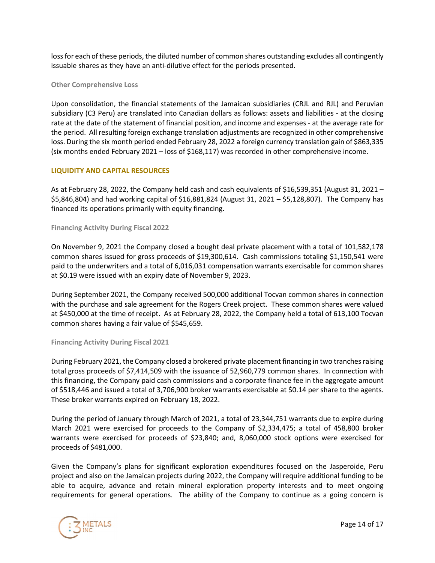loss for each of these periods, the diluted number of common shares outstanding excludes all contingently issuable shares as they have an anti-dilutive effect for the periods presented.

### **Other Comprehensive Loss**

Upon consolidation, the financial statements of the Jamaican subsidiaries (CRJL and RJL) and Peruvian subsidiary (C3 Peru) are translated into Canadian dollars as follows: assets and liabilities - at the closing rate at the date of the statement of financial position, and income and expenses - at the average rate for the period. All resulting foreign exchange translation adjustments are recognized in other comprehensive loss. During the six month period ended February 28, 2022 a foreign currency translation gain of \$863,335 (six months ended February 2021 – loss of \$168,117) was recorded in other comprehensive income.

## **LIQUIDITY AND CAPITAL RESOURCES**

As at February 28, 2022, the Company held cash and cash equivalents of \$16,539,351 (August 31, 2021 – \$5,846,804) and had working capital of \$16,881,824 (August 31, 2021 – \$5,128,807). The Company has financed its operations primarily with equity financing.

## **Financing Activity During Fiscal 2022**

On November 9, 2021 the Company closed a bought deal private placement with a total of 101,582,178 common shares issued for gross proceeds of \$19,300,614. Cash commissions totaling \$1,150,541 were paid to the underwriters and a total of 6,016,031 compensation warrants exercisable for common shares at \$0.19 were issued with an expiry date of November 9, 2023.

During September 2021, the Company received 500,000 additional Tocvan common shares in connection with the purchase and sale agreement for the Rogers Creek project. These common shares were valued at \$450,000 at the time of receipt. As at February 28, 2022, the Company held a total of 613,100 Tocvan common shares having a fair value of \$545,659.

### **Financing Activity During Fiscal 2021**

During February 2021, the Company closed a brokered private placement financing in two tranches raising total gross proceeds of \$7,414,509 with the issuance of 52,960,779 common shares. In connection with this financing, the Company paid cash commissions and a corporate finance fee in the aggregate amount of \$518,446 and issued a total of 3,706,900 broker warrants exercisable at \$0.14 per share to the agents. These broker warrants expired on February 18, 2022.

During the period of January through March of 2021, a total of 23,344,751 warrants due to expire during March 2021 were exercised for proceeds to the Company of \$2,334,475; a total of 458,800 broker warrants were exercised for proceeds of \$23,840; and, 8,060,000 stock options were exercised for proceeds of \$481,000.

Given the Company's plans for significant exploration expenditures focused on the Jasperoide, Peru project and also on the Jamaican projects during 2022, the Company will require additional funding to be able to acquire, advance and retain mineral exploration property interests and to meet ongoing requirements for general operations. The ability of the Company to continue as a going concern is

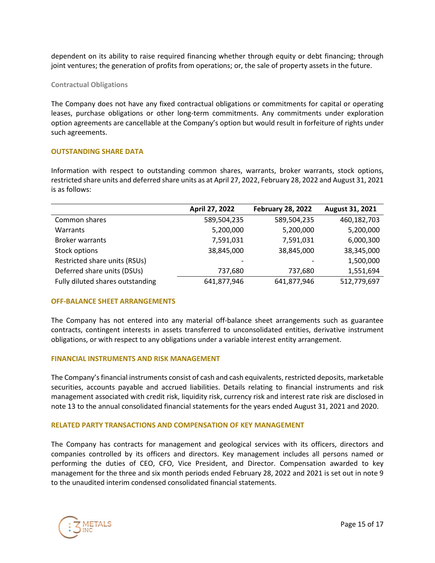dependent on its ability to raise required financing whether through equity or debt financing; through joint ventures; the generation of profits from operations; or, the sale of property assets in the future.

#### **Contractual Obligations**

The Company does not have any fixed contractual obligations or commitments for capital or operating leases, purchase obligations or other long-term commitments. Any commitments under exploration option agreements are cancellable at the Company's option but would result in forfeiture of rights under such agreements.

### **OUTSTANDING SHARE DATA**

Information with respect to outstanding common shares, warrants, broker warrants, stock options, restricted share units and deferred share units as at April 27, 2022, February 28, 2022 and August 31, 2021 is as follows:

|                                  | April 27, 2022 | <b>February 28, 2022</b> | August 31, 2021 |
|----------------------------------|----------------|--------------------------|-----------------|
| Common shares                    | 589,504,235    | 589,504,235              | 460,182,703     |
| Warrants                         | 5,200,000      | 5,200,000                | 5,200,000       |
| <b>Broker warrants</b>           | 7,591,031      | 7,591,031                | 6,000,300       |
| Stock options                    | 38,845,000     | 38,845,000               | 38,345,000      |
| Restricted share units (RSUs)    |                |                          | 1,500,000       |
| Deferred share units (DSUs)      | 737,680        | 737,680                  | 1,551,694       |
| Fully diluted shares outstanding | 641,877,946    | 641,877,946              | 512,779,697     |

### **OFF-BALANCE SHEET ARRANGEMENTS**

The Company has not entered into any material off-balance sheet arrangements such as guarantee contracts, contingent interests in assets transferred to unconsolidated entities, derivative instrument obligations, or with respect to any obligations under a variable interest entity arrangement.

### **FINANCIAL INSTRUMENTS AND RISK MANAGEMENT**

The Company's financial instruments consist of cash and cash equivalents, restricted deposits, marketable securities, accounts payable and accrued liabilities. Details relating to financial instruments and risk management associated with credit risk, liquidity risk, currency risk and interest rate risk are disclosed in note 13 to the annual consolidated financial statements for the years ended August 31, 2021 and 2020.

### **RELATED PARTY TRANSACTIONS AND COMPENSATION OF KEY MANAGEMENT**

The Company has contracts for management and geological services with its officers, directors and companies controlled by its officers and directors. Key management includes all persons named or performing the duties of CEO, CFO, Vice President, and Director. Compensation awarded to key management for the three and six month periods ended February 28, 2022 and 2021 is set out in note 9 to the unaudited interim condensed consolidated financial statements.

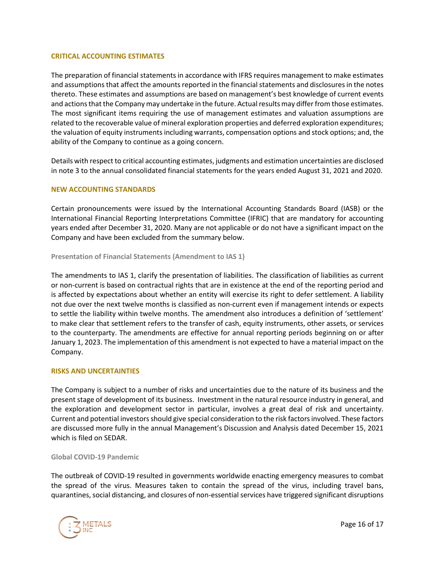## **CRITICAL ACCOUNTING ESTIMATES**

The preparation of financial statements in accordance with IFRS requires management to make estimates and assumptions that affect the amounts reported in the financial statements and disclosures in the notes thereto. These estimates and assumptions are based on management's best knowledge of current events and actions that the Company may undertake in the future. Actual results may differ from those estimates. The most significant items requiring the use of management estimates and valuation assumptions are related to the recoverable value of mineral exploration properties and deferred exploration expenditures; the valuation of equity instruments including warrants, compensation options and stock options; and, the ability of the Company to continue as a going concern.

Details with respect to critical accounting estimates, judgments and estimation uncertainties are disclosed in note 3 to the annual consolidated financial statements for the years ended August 31, 2021 and 2020.

## **NEW ACCOUNTING STANDARDS**

Certain pronouncements were issued by the International Accounting Standards Board (IASB) or the International Financial Reporting Interpretations Committee (IFRIC) that are mandatory for accounting years ended after December 31, 2020. Many are not applicable or do not have a significant impact on the Company and have been excluded from the summary below.

### **Presentation of Financial Statements (Amendment to IAS 1)**

The amendments to IAS 1, clarify the presentation of liabilities. The classification of liabilities as current or non-current is based on contractual rights that are in existence at the end of the reporting period and is affected by expectations about whether an entity will exercise its right to defer settlement. A liability not due over the next twelve months is classified as non-current even if management intends or expects to settle the liability within twelve months. The amendment also introduces a definition of 'settlement' to make clear that settlement refers to the transfer of cash, equity instruments, other assets, or services to the counterparty. The amendments are effective for annual reporting periods beginning on or after January 1, 2023. The implementation of this amendment is not expected to have a material impact on the Company.

### **RISKS AND UNCERTAINTIES**

The Company is subject to a number of risks and uncertainties due to the nature of its business and the present stage of development of its business. Investment in the natural resource industry in general, and the exploration and development sector in particular, involves a great deal of risk and uncertainty. Current and potential investors should give special consideration to the risk factors involved. These factors are discussed more fully in the annual Management's Discussion and Analysis dated December 15, 2021 which is filed on SEDAR.

### **Global COVID-19 Pandemic**

The outbreak of COVID-19 resulted in governments worldwide enacting emergency measures to combat the spread of the virus. Measures taken to contain the spread of the virus, including travel bans, quarantines, social distancing, and closures of non-essential services have triggered significant disruptions